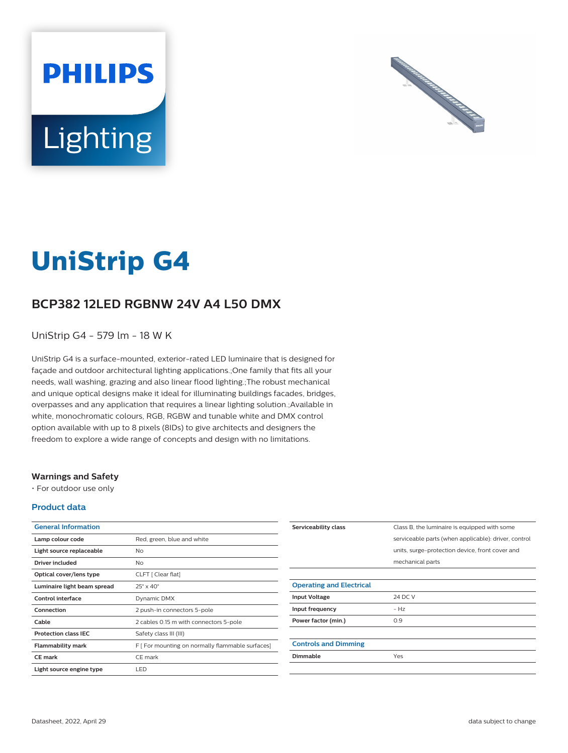



# **UniStrip G4**

## **BCP382 12LED RGBNW 24V A4 L50 DMX**

UniStrip G4 - 579 lm - 18 W K

UniStrip G4 is a surface-mounted, exterior-rated LED luminaire that is designed for façade and outdoor architectural lighting applications.;One family that fits all your needs, wall washing, grazing and also linear flood lighting.;The robust mechanical and unique optical designs make it ideal for illuminating buildings facades, bridges, overpasses and any application that requires a linear lighting solution.;Available in white, monochromatic colours, RGB, RGBW and tunable white and DMX control option available with up to 8 pixels (8IDs) to give architects and designers the freedom to explore a wide range of concepts and design with no limitations.

#### **Warnings and Safety**

• For outdoor use only

#### **Product data**

| <b>General Information</b>  |                                                  |
|-----------------------------|--------------------------------------------------|
| Lamp colour code            | Red, green, blue and white                       |
| Light source replaceable    | N <sub>o</sub>                                   |
| Driver included             | No                                               |
| Optical cover/lens type     | CLFT [ Clear flat]                               |
| Luminaire light beam spread | $25^\circ \times 40^\circ$                       |
| Control interface           | Dynamic DMX                                      |
| Connection                  | 2 push-in connectors 5-pole                      |
| Cable                       | 2 cables 0.15 m with connectors 5-pole           |
| <b>Protection class IEC</b> | Safety class III (III)                           |
| Flammability mark           | F [ For mounting on normally flammable surfaces] |
| <b>CE</b> mark              | CE mark                                          |
| Light source engine type    | LED                                              |

| Serviceability class            | Class B, the luminaire is equipped with some         |
|---------------------------------|------------------------------------------------------|
|                                 | serviceable parts (when applicable): driver, control |
|                                 | units, surge-protection device, front cover and      |
|                                 | mechanical parts                                     |
|                                 |                                                      |
| <b>Operating and Electrical</b> |                                                      |
| <b>Input Voltage</b>            | 24 DC V                                              |
| Input frequency                 | $-HZ$                                                |
| Power factor (min.)             | 0.9                                                  |
|                                 |                                                      |
| <b>Controls and Dimming</b>     |                                                      |
| Dimmable                        | Yes                                                  |
|                                 |                                                      |